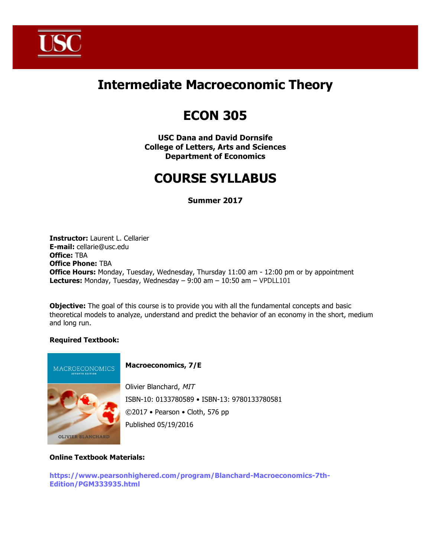

## **Intermediate Macroeconomic Theory**

# **ECON 305**

**USC Dana and David Dornsife College of Letters, Arts and Sciences Department of Economics**

# **COURSE SYLLABUS**

**Summer 2017**

**Instructor:** Laurent L. Cellarier **E-mail:** cellarie@usc.edu **Office:** TBA **Office Phone:** TBA **Office Hours:** Monday, Tuesday, Wednesday, Thursday 11:00 am - 12:00 pm or by appointment **Lectures:** Monday, Tuesday, Wednesday – 9:00 am – 10:50 am – VPDLL101

**Objective:** The goal of this course is to provide you with all the fundamental concepts and basic theoretical models to analyze, understand and predict the behavior of an economy in the short, medium and long run.

## **Required Textbook:**



## **Macroeconomics, 7/E**

Olivier Blanchard, MIT ISBN-10: 0133780589 • ISBN-13: 9780133780581 ©2017 • Pearson • Cloth, 576 pp Published 05/19/2016

#### **Online Textbook Materials:**

**https://www.pearsonhighered.com/program/Blanchard-Macroeconomics-7th-Edition/PGM333935.html**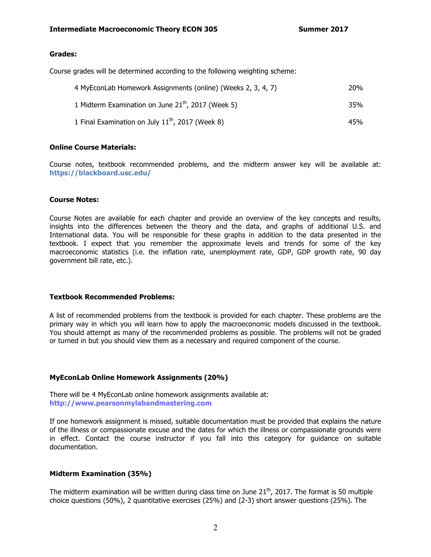#### **Grades:**

Course grades will be determined according to the following weighting scheme:

| 4 MyEconLab Homework Assignments (online) (Weeks 2, 3, 4, 7)   | 20% |
|----------------------------------------------------------------|-----|
| 1 Midterm Examination on June 21 <sup>th</sup> , 2017 (Week 5) | 35% |
| 1 Final Examination on July $11^{th}$ , 2017 (Week 8)          | 45% |

#### **Online Course Materials:**

Course notes, textbook recommended problems, and the midterm answer key will be available at: **https://blackboard.usc.edu/**

#### **Course Notes:**

Course Notes are available for each chapter and provide an overview of the key concepts and results, insights into the differences between the theory and the data, and graphs of additional U.S. and International data. You will be responsible for these graphs in addition to the data presented in the textbook. I expect that you remember the approximate levels and trends for some of the key macroeconomic statistics (i.e. the inflation rate, unemployment rate, GDP, GDP growth rate, 90 day government bill rate, etc.).

#### **Textbook Recommended Problems:**

A list of recommended problems from the textbook is provided for each chapter. These problems are the primary way in which you will learn how to apply the macroeconomic models discussed in the textbook. You should attempt as many of the recommended problems as possible. The problems will not be graded or turned in but you should view them as a necessary and required component of the course.

#### **MyEconLab Online Homework Assignments (20%)**

There will be 4 MyEconLab online homework assignments available at: **http://www.pearsonmylabandmastering.com**

If one homework assignment is missed, suitable documentation must be provided that explains the nature of the illness or compassionate excuse and the dates for which the illness or compassionate grounds were in effect. Contact the course instructor if you fall into this category for guidance on suitable documentation.

#### **Midterm Examination (35%)**

The midterm examination will be written during class time on June  $21<sup>th</sup>$ , 2017. The format is 50 multiple choice questions (50%), 2 quantitative exercises (25%) and (2-3) short answer questions (25%). The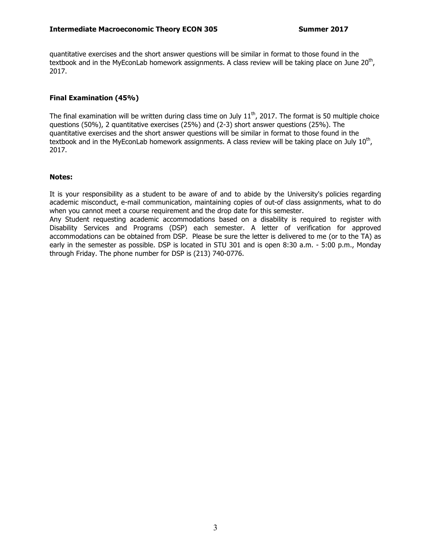quantitative exercises and the short answer questions will be similar in format to those found in the textbook and in the MyEconLab homework assignments. A class review will be taking place on June 20<sup>th</sup>, 2017.

### **Final Examination (45%)**

The final examination will be written during class time on July  $11<sup>th</sup>$ , 2017. The format is 50 multiple choice questions (50%), 2 quantitative exercises (25%) and (2-3) short answer questions (25%). The quantitative exercises and the short answer questions will be similar in format to those found in the textbook and in the MyEconLab homework assignments. A class review will be taking place on July  $10^{th}$ , 2017.

#### **Notes:**

It is your responsibility as a student to be aware of and to abide by the University's policies regarding academic misconduct, e-mail communication, maintaining copies of out-of class assignments, what to do when you cannot meet a course requirement and the drop date for this semester.

Any Student requesting academic accommodations based on a disability is required to register with Disability Services and Programs (DSP) each semester. A letter of verification for approved accommodations can be obtained from DSP. Please be sure the letter is delivered to me (or to the TA) as early in the semester as possible. DSP is located in STU 301 and is open 8:30 a.m. - 5:00 p.m., Monday through Friday. The phone number for DSP is (213) 740-0776.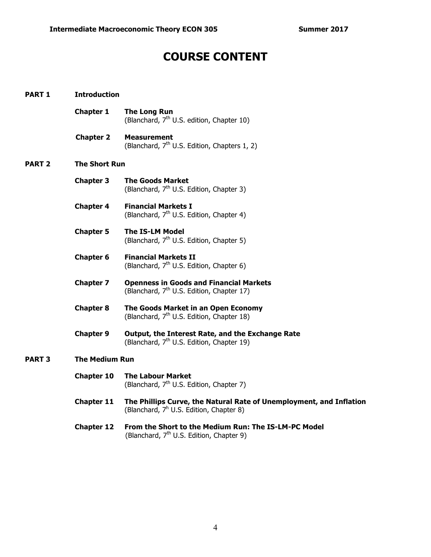## **COURSE CONTENT**

| <b>PART 1</b> | <b>Introduction</b>  |                                                                                                                            |  |  |
|---------------|----------------------|----------------------------------------------------------------------------------------------------------------------------|--|--|
|               | <b>Chapter 1</b>     | <b>The Long Run</b><br>(Blanchard, 7 <sup>th</sup> U.S. edition, Chapter 10)                                               |  |  |
|               | <b>Chapter 2</b>     | <b>Measurement</b><br>(Blanchard, 7 <sup>th</sup> U.S. Edition, Chapters 1, 2)                                             |  |  |
| <b>PART 2</b> | <b>The Short Run</b> |                                                                                                                            |  |  |
|               | <b>Chapter 3</b>     | <b>The Goods Market</b><br>(Blanchard, 7 <sup>th</sup> U.S. Edition, Chapter 3)                                            |  |  |
|               | <b>Chapter 4</b>     | <b>Financial Markets I</b><br>(Blanchard, 7 <sup>th</sup> U.S. Edition, Chapter 4)                                         |  |  |
|               | <b>Chapter 5</b>     | <b>The IS-LM Model</b><br>(Blanchard, 7 <sup>th</sup> U.S. Edition, Chapter 5)                                             |  |  |
|               | <b>Chapter 6</b>     | <b>Financial Markets II</b><br>(Blanchard, 7 <sup>th</sup> U.S. Edition, Chapter 6)                                        |  |  |
|               | <b>Chapter 7</b>     | <b>Openness in Goods and Financial Markets</b><br>(Blanchard, 7 <sup>th</sup> U.S. Edition, Chapter 17)                    |  |  |
|               | <b>Chapter 8</b>     | The Goods Market in an Open Economy<br>(Blanchard, 7 <sup>th</sup> U.S. Edition, Chapter 18)                               |  |  |
|               | <b>Chapter 9</b>     | Output, the Interest Rate, and the Exchange Rate<br>(Blanchard, 7 <sup>th</sup> U.S. Edition, Chapter 19)                  |  |  |
| <b>PART 3</b> |                      | <b>The Medium Run</b>                                                                                                      |  |  |
|               | <b>Chapter 10</b>    | <b>The Labour Market</b><br>(Blanchard, 7 <sup>th</sup> U.S. Edition, Chapter 7)                                           |  |  |
|               | <b>Chapter 11</b>    | The Phillips Curve, the Natural Rate of Unemployment, and Inflation<br>(Blanchard, 7 <sup>h</sup> U.S. Edition, Chapter 8) |  |  |
|               | <b>Chapter 12</b>    | From the Short to the Medium Run: The IS-LM-PC Model<br>(Blanchard, 7 <sup>th</sup> U.S. Edition, Chapter 9)               |  |  |
|               |                      |                                                                                                                            |  |  |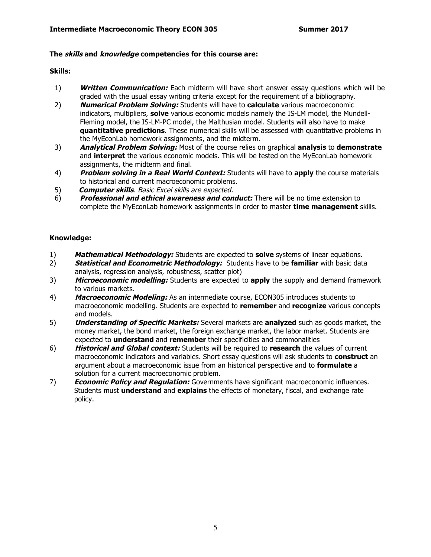### **The skills and knowledge competencies for this course are:**

### **Skills:**

- 1) **Written Communication:** Each midterm will have short answer essay questions which will be graded with the usual essay writing criteria except for the requirement of a bibliography.
- 2) **Numerical Problem Solving:** Students will have to **calculate** various macroeconomic indicators, multipliers, **solve** various economic models namely the IS-LM model, the Mundell-Fleming model, the IS-LM-PC model, the Malthusian model. Students will also have to make **quantitative predictions**. These numerical skills will be assessed with quantitative problems in the MyEconLab homework assignments, and the midterm.
- 3) **Analytical Problem Solving:** Most of the course relies on graphical **analysis** to **demonstrate**  and **interpret** the various economic models. This will be tested on the MyEconLab homework assignments, the midterm and final.
- 4) **Problem solving in a Real World Context:** Students will have to **apply** the course materials to historical and current macroeconomic problems.
- 5) **Computer skills**. Basic Excel skills are expected.
- 6) **Professional and ethical awareness and conduct:** There will be no time extension to complete the MyEconLab homework assignments in order to master **time management** skills.

### **Knowledge:**

- 1) **Mathematical Methodology:** Students are expected to **solve** systems of linear equations.
- 2) **Statistical and Econometric Methodology:** Students have to be **familiar** with basic data analysis, regression analysis, robustness, scatter plot)
- 3) **Microeconomic modelling:** Students are expected to **apply** the supply and demand framework to various markets.
- 4) **Macroeconomic Modeling:** As an intermediate course, ECON305 introduces students to macroeconomic modelling. Students are expected to **remember** and **recognize** various concepts and models.
- 5) **Understanding of Specific Markets:** Several markets are **analyzed** such as goods market, the money market, the bond market, the foreign exchange market, the labor market. Students are expected to **understand** and **remember** their specificities and commonalities
- 6) **Historical and Global context:** Students will be required to **research** the values of current macroeconomic indicators and variables. Short essay questions will ask students to **construct** an argument about a macroeconomic issue from an historical perspective and to **formulate** a solution for a current macroeconomic problem.
- 7) **Economic Policy and Regulation:** Governments have significant macroeconomic influences. Students must **understand** and **explains** the effects of monetary, fiscal, and exchange rate policy.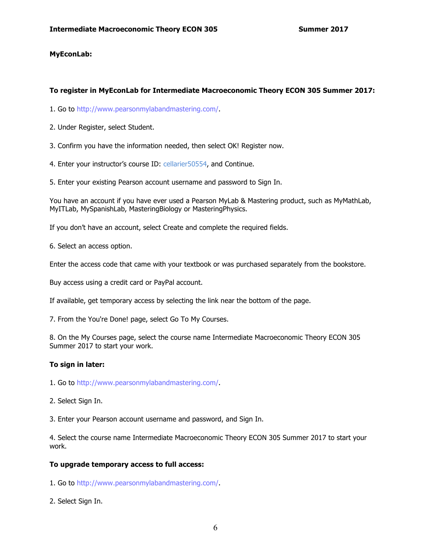#### **MyEconLab:**

#### **To register in MyEconLab for Intermediate Macroeconomic Theory ECON 305 Summer 2017:**

1. Go to http://www.pearsonmylabandmastering.com/.

- 2. Under Register, select Student.
- 3. Confirm you have the information needed, then select OK! Register now.
- 4. Enter your instructor's course ID: cellarier50554, and Continue.
- 5. Enter your existing Pearson account username and password to Sign In.

You have an account if you have ever used a Pearson MyLab & Mastering product, such as MyMathLab, MyITLab, MySpanishLab, MasteringBiology or MasteringPhysics.

If you don't have an account, select Create and complete the required fields.

6. Select an access option.

Enter the access code that came with your textbook or was purchased separately from the bookstore.

Buy access using a credit card or PayPal account.

If available, get temporary access by selecting the link near the bottom of the page.

7. From the You're Done! page, select Go To My Courses.

8. On the My Courses page, select the course name Intermediate Macroeconomic Theory ECON 305 Summer 2017 to start your work.

#### **To sign in later:**

- 1. Go to http://www.pearsonmylabandmastering.com/.
- 2. Select Sign In.

3. Enter your Pearson account username and password, and Sign In.

4. Select the course name Intermediate Macroeconomic Theory ECON 305 Summer 2017 to start your work.

#### **To upgrade temporary access to full access:**

1. Go to http://www.pearsonmylabandmastering.com/.

2. Select Sign In.